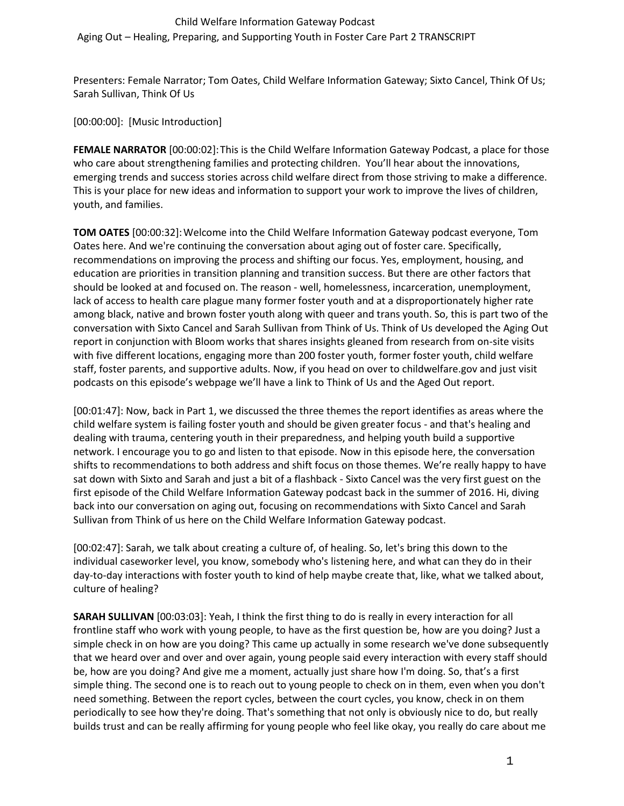#### Child Welfare Information Gateway Podcast

Aging Out – Healing, Preparing, and Supporting Youth in Foster Care Part 2 TRANSCRIPT

Presenters: Female Narrator; Tom Oates, Child Welfare Information Gateway; Sixto Cancel, Think Of Us; Sarah Sullivan, Think Of Us

[00:00:00]: [Music Introduction]

**FEMALE NARRATOR** [00:00:02]:This is the Child Welfare Information Gateway Podcast, a place for those who care about strengthening families and protecting children. You'll hear about the innovations, emerging trends and success stories across child welfare direct from those striving to make a difference. This is your place for new ideas and information to support your work to improve the lives of children, youth, and families.

**TOM OATES** [00:00:32]:Welcome into the Child Welfare Information Gateway podcast everyone, Tom Oates here. And we're continuing the conversation about aging out of foster care. Specifically, recommendations on improving the process and shifting our focus. Yes, employment, housing, and education are priorities in transition planning and transition success. But there are other factors that should be looked at and focused on. The reason - well, homelessness, incarceration, unemployment, lack of access to health care plague many former foster youth and at a disproportionately higher rate among black, native and brown foster youth along with queer and trans youth. So, this is part two of the conversation with Sixto Cancel and Sarah Sullivan from Think of Us. Think of Us developed the Aging Out report in conjunction with Bloom works that shares insights gleaned from research from on-site visits with five different locations, engaging more than 200 foster youth, former foster youth, child welfare staff, foster parents, and supportive adults. Now, if you head on over to childwelfare.gov and just visit podcasts on this episode's webpage we'll have a link to Think of Us and the Aged Out report.

[00:01:47]: Now, back in Part 1, we discussed the three themes the report identifies as areas where the child welfare system is failing foster youth and should be given greater focus - and that's healing and dealing with trauma, centering youth in their preparedness, and helping youth build a supportive network. I encourage you to go and listen to that episode. Now in this episode here, the conversation shifts to recommendations to both address and shift focus on those themes. We're really happy to have sat down with Sixto and Sarah and just a bit of a flashback - Sixto Cancel was the very first guest on the first episode of the Child Welfare Information Gateway podcast back in the summer of 2016. Hi, diving back into our conversation on aging out, focusing on recommendations with Sixto Cancel and Sarah Sullivan from Think of us here on the Child Welfare Information Gateway podcast.

[00:02:47]: Sarah, we talk about creating a culture of, of healing. So, let's bring this down to the individual caseworker level, you know, somebody who's listening here, and what can they do in their day-to-day interactions with foster youth to kind of help maybe create that, like, what we talked about, culture of healing?

**SARAH SULLIVAN** [00:03:03]: Yeah, I think the first thing to do is really in every interaction for all frontline staff who work with young people, to have as the first question be, how are you doing? Just a simple check in on how are you doing? This came up actually in some research we've done subsequently that we heard over and over and over again, young people said every interaction with every staff should be, how are you doing? And give me a moment, actually just share how I'm doing. So, that's a first simple thing. The second one is to reach out to young people to check on in them, even when you don't need something. Between the report cycles, between the court cycles, you know, check in on them periodically to see how they're doing. That's something that not only is obviously nice to do, but really builds trust and can be really affirming for young people who feel like okay, you really do care about me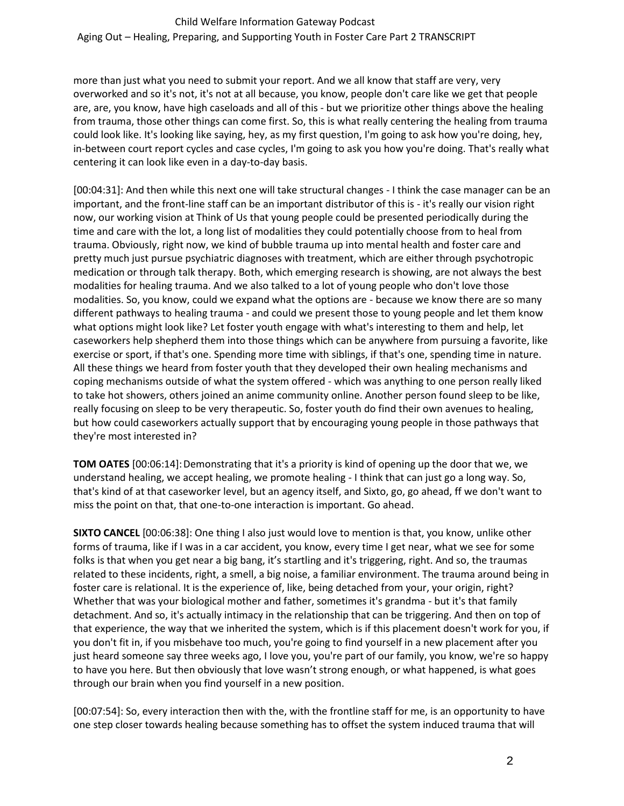more than just what you need to submit your report. And we all know that staff are very, very overworked and so it's not, it's not at all because, you know, people don't care like we get that people are, are, you know, have high caseloads and all of this - but we prioritize other things above the healing from trauma, those other things can come first. So, this is what really centering the healing from trauma could look like. It's looking like saying, hey, as my first question, I'm going to ask how you're doing, hey, in-between court report cycles and case cycles, I'm going to ask you how you're doing. That's really what centering it can look like even in a day-to-day basis.

[00:04:31]: And then while this next one will take structural changes - I think the case manager can be an important, and the front-line staff can be an important distributor of this is - it's really our vision right now, our working vision at Think of Us that young people could be presented periodically during the time and care with the lot, a long list of modalities they could potentially choose from to heal from trauma. Obviously, right now, we kind of bubble trauma up into mental health and foster care and pretty much just pursue psychiatric diagnoses with treatment, which are either through psychotropic medication or through talk therapy. Both, which emerging research is showing, are not always the best modalities for healing trauma. And we also talked to a lot of young people who don't love those modalities. So, you know, could we expand what the options are - because we know there are so many different pathways to healing trauma - and could we present those to young people and let them know what options might look like? Let foster youth engage with what's interesting to them and help, let caseworkers help shepherd them into those things which can be anywhere from pursuing a favorite, like exercise or sport, if that's one. Spending more time with siblings, if that's one, spending time in nature. All these things we heard from foster youth that they developed their own healing mechanisms and coping mechanisms outside of what the system offered - which was anything to one person really liked to take hot showers, others joined an anime community online. Another person found sleep to be like, really focusing on sleep to be very therapeutic. So, foster youth do find their own avenues to healing, but how could caseworkers actually support that by encouraging young people in those pathways that they're most interested in?

**TOM OATES** [00:06:14]: Demonstrating that it's a priority is kind of opening up the door that we, we understand healing, we accept healing, we promote healing - I think that can just go a long way. So, that's kind of at that caseworker level, but an agency itself, and Sixto, go, go ahead, ff we don't want to miss the point on that, that one-to-one interaction is important. Go ahead.

**SIXTO CANCEL** [00:06:38]: One thing I also just would love to mention is that, you know, unlike other forms of trauma, like if I was in a car accident, you know, every time I get near, what we see for some folks is that when you get near a big bang, it's startling and it's triggering, right. And so, the traumas related to these incidents, right, a smell, a big noise, a familiar environment. The trauma around being in foster care is relational. It is the experience of, like, being detached from your, your origin, right? Whether that was your biological mother and father, sometimes it's grandma - but it's that family detachment. And so, it's actually intimacy in the relationship that can be triggering. And then on top of that experience, the way that we inherited the system, which is if this placement doesn't work for you, if you don't fit in, if you misbehave too much, you're going to find yourself in a new placement after you just heard someone say three weeks ago, I love you, you're part of our family, you know, we're so happy to have you here. But then obviously that love wasn't strong enough, or what happened, is what goes through our brain when you find yourself in a new position.

[00:07:54]: So, every interaction then with the, with the frontline staff for me, is an opportunity to have one step closer towards healing because something has to offset the system induced trauma that will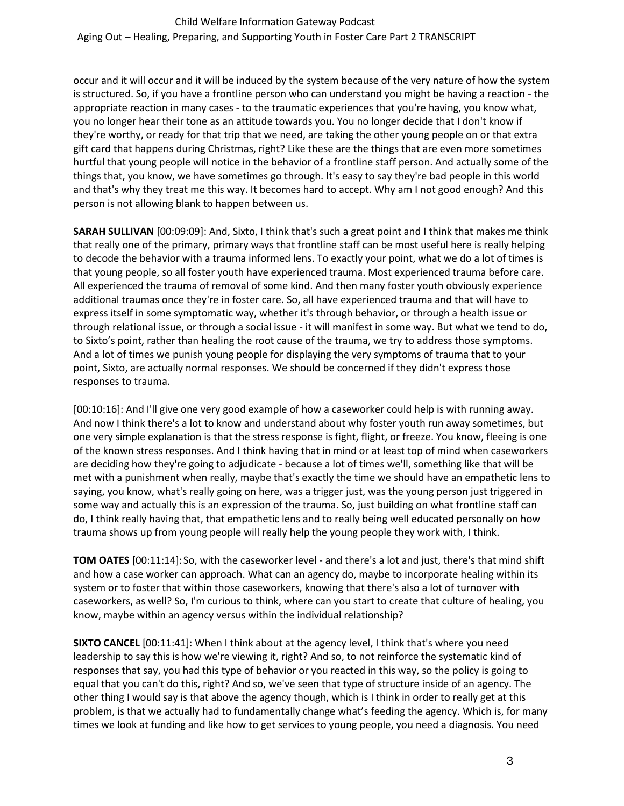occur and it will occur and it will be induced by the system because of the very nature of how the system is structured. So, if you have a frontline person who can understand you might be having a reaction - the appropriate reaction in many cases - to the traumatic experiences that you're having, you know what, you no longer hear their tone as an attitude towards you. You no longer decide that I don't know if they're worthy, or ready for that trip that we need, are taking the other young people on or that extra gift card that happens during Christmas, right? Like these are the things that are even more sometimes hurtful that young people will notice in the behavior of a frontline staff person. And actually some of the things that, you know, we have sometimes go through. It's easy to say they're bad people in this world and that's why they treat me this way. It becomes hard to accept. Why am I not good enough? And this person is not allowing blank to happen between us.

**SARAH SULLIVAN** [00:09:09]: And, Sixto, I think that's such a great point and I think that makes me think that really one of the primary, primary ways that frontline staff can be most useful here is really helping to decode the behavior with a trauma informed lens. To exactly your point, what we do a lot of times is that young people, so all foster youth have experienced trauma. Most experienced trauma before care. All experienced the trauma of removal of some kind. And then many foster youth obviously experience additional traumas once they're in foster care. So, all have experienced trauma and that will have to express itself in some symptomatic way, whether it's through behavior, or through a health issue or through relational issue, or through a social issue - it will manifest in some way. But what we tend to do, to Sixto's point, rather than healing the root cause of the trauma, we try to address those symptoms. And a lot of times we punish young people for displaying the very symptoms of trauma that to your point, Sixto, are actually normal responses. We should be concerned if they didn't express those responses to trauma.

[00:10:16]: And I'll give one very good example of how a caseworker could help is with running away. And now I think there's a lot to know and understand about why foster youth run away sometimes, but one very simple explanation is that the stress response is fight, flight, or freeze. You know, fleeing is one of the known stress responses. And I think having that in mind or at least top of mind when caseworkers are deciding how they're going to adjudicate - because a lot of times we'll, something like that will be met with a punishment when really, maybe that's exactly the time we should have an empathetic lens to saying, you know, what's really going on here, was a trigger just, was the young person just triggered in some way and actually this is an expression of the trauma. So, just building on what frontline staff can do, I think really having that, that empathetic lens and to really being well educated personally on how trauma shows up from young people will really help the young people they work with, I think.

**TOM OATES** [00:11:14]:So, with the caseworker level - and there's a lot and just, there's that mind shift and how a case worker can approach. What can an agency do, maybe to incorporate healing within its system or to foster that within those caseworkers, knowing that there's also a lot of turnover with caseworkers, as well? So, I'm curious to think, where can you start to create that culture of healing, you know, maybe within an agency versus within the individual relationship?

**SIXTO CANCEL** [00:11:41]: When I think about at the agency level, I think that's where you need leadership to say this is how we're viewing it, right? And so, to not reinforce the systematic kind of responses that say, you had this type of behavior or you reacted in this way, so the policy is going to equal that you can't do this, right? And so, we've seen that type of structure inside of an agency. The other thing I would say is that above the agency though, which is I think in order to really get at this problem, is that we actually had to fundamentally change what's feeding the agency. Which is, for many times we look at funding and like how to get services to young people, you need a diagnosis. You need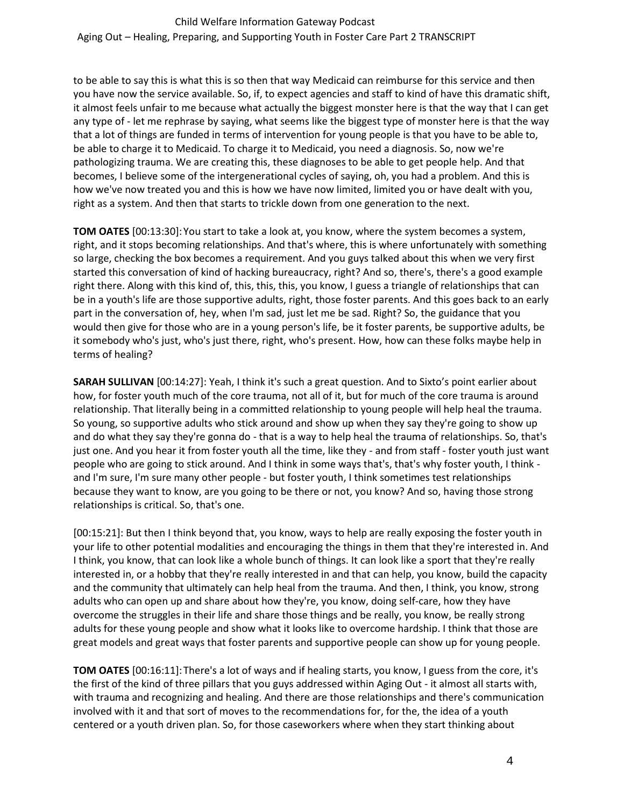to be able to say this is what this is so then that way Medicaid can reimburse for this service and then you have now the service available. So, if, to expect agencies and staff to kind of have this dramatic shift, it almost feels unfair to me because what actually the biggest monster here is that the way that I can get any type of - let me rephrase by saying, what seems like the biggest type of monster here is that the way that a lot of things are funded in terms of intervention for young people is that you have to be able to, be able to charge it to Medicaid. To charge it to Medicaid, you need a diagnosis. So, now we're pathologizing trauma. We are creating this, these diagnoses to be able to get people help. And that becomes, I believe some of the intergenerational cycles of saying, oh, you had a problem. And this is how we've now treated you and this is how we have now limited, limited you or have dealt with you, right as a system. And then that starts to trickle down from one generation to the next.

**TOM OATES** [00:13:30]:You start to take a look at, you know, where the system becomes a system, right, and it stops becoming relationships. And that's where, this is where unfortunately with something so large, checking the box becomes a requirement. And you guys talked about this when we very first started this conversation of kind of hacking bureaucracy, right? And so, there's, there's a good example right there. Along with this kind of, this, this, this, you know, I guess a triangle of relationships that can be in a youth's life are those supportive adults, right, those foster parents. And this goes back to an early part in the conversation of, hey, when I'm sad, just let me be sad. Right? So, the guidance that you would then give for those who are in a young person's life, be it foster parents, be supportive adults, be it somebody who's just, who's just there, right, who's present. How, how can these folks maybe help in terms of healing?

**SARAH SULLIVAN** [00:14:27]: Yeah, I think it's such a great question. And to Sixto's point earlier about how, for foster youth much of the core trauma, not all of it, but for much of the core trauma is around relationship. That literally being in a committed relationship to young people will help heal the trauma. So young, so supportive adults who stick around and show up when they say they're going to show up and do what they say they're gonna do - that is a way to help heal the trauma of relationships. So, that's just one. And you hear it from foster youth all the time, like they - and from staff - foster youth just want people who are going to stick around. And I think in some ways that's, that's why foster youth, I think and I'm sure, I'm sure many other people - but foster youth, I think sometimes test relationships because they want to know, are you going to be there or not, you know? And so, having those strong relationships is critical. So, that's one.

[00:15:21]: But then I think beyond that, you know, ways to help are really exposing the foster youth in your life to other potential modalities and encouraging the things in them that they're interested in. And I think, you know, that can look like a whole bunch of things. It can look like a sport that they're really interested in, or a hobby that they're really interested in and that can help, you know, build the capacity and the community that ultimately can help heal from the trauma. And then, I think, you know, strong adults who can open up and share about how they're, you know, doing self-care, how they have overcome the struggles in their life and share those things and be really, you know, be really strong adults for these young people and show what it looks like to overcome hardship. I think that those are great models and great ways that foster parents and supportive people can show up for young people.

**TOM OATES** [00:16:11]:There's a lot of ways and if healing starts, you know, I guess from the core, it's the first of the kind of three pillars that you guys addressed within Aging Out - it almost all starts with, with trauma and recognizing and healing. And there are those relationships and there's communication involved with it and that sort of moves to the recommendations for, for the, the idea of a youth centered or a youth driven plan. So, for those caseworkers where when they start thinking about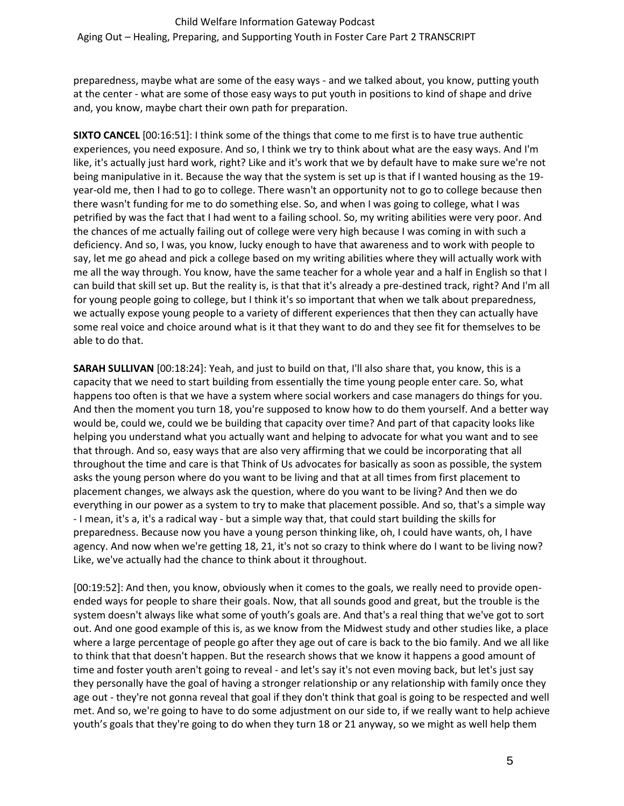# Child Welfare Information Gateway Podcast

Aging Out – Healing, Preparing, and Supporting Youth in Foster Care Part 2 TRANSCRIPT

preparedness, maybe what are some of the easy ways - and we talked about, you know, putting youth at the center - what are some of those easy ways to put youth in positions to kind of shape and drive and, you know, maybe chart their own path for preparation.

**SIXTO CANCEL** [00:16:51]: I think some of the things that come to me first is to have true authentic experiences, you need exposure. And so, I think we try to think about what are the easy ways. And I'm like, it's actually just hard work, right? Like and it's work that we by default have to make sure we're not being manipulative in it. Because the way that the system is set up is that if I wanted housing as the 19 year-old me, then I had to go to college. There wasn't an opportunity not to go to college because then there wasn't funding for me to do something else. So, and when I was going to college, what I was petrified by was the fact that I had went to a failing school. So, my writing abilities were very poor. And the chances of me actually failing out of college were very high because I was coming in with such a deficiency. And so, I was, you know, lucky enough to have that awareness and to work with people to say, let me go ahead and pick a college based on my writing abilities where they will actually work with me all the way through. You know, have the same teacher for a whole year and a half in English so that I can build that skill set up. But the reality is, is that that it's already a pre-destined track, right? And I'm all for young people going to college, but I think it's so important that when we talk about preparedness, we actually expose young people to a variety of different experiences that then they can actually have some real voice and choice around what is it that they want to do and they see fit for themselves to be able to do that.

**SARAH SULLIVAN** [00:18:24]: Yeah, and just to build on that, I'll also share that, you know, this is a capacity that we need to start building from essentially the time young people enter care. So, what happens too often is that we have a system where social workers and case managers do things for you. And then the moment you turn 18, you're supposed to know how to do them yourself. And a better way would be, could we, could we be building that capacity over time? And part of that capacity looks like helping you understand what you actually want and helping to advocate for what you want and to see that through. And so, easy ways that are also very affirming that we could be incorporating that all throughout the time and care is that Think of Us advocates for basically as soon as possible, the system asks the young person where do you want to be living and that at all times from first placement to placement changes, we always ask the question, where do you want to be living? And then we do everything in our power as a system to try to make that placement possible. And so, that's a simple way - I mean, it's a, it's a radical way - but a simple way that, that could start building the skills for preparedness. Because now you have a young person thinking like, oh, I could have wants, oh, I have agency. And now when we're getting 18, 21, it's not so crazy to think where do I want to be living now? Like, we've actually had the chance to think about it throughout.

[00:19:52]: And then, you know, obviously when it comes to the goals, we really need to provide openended ways for people to share their goals. Now, that all sounds good and great, but the trouble is the system doesn't always like what some of youth's goals are. And that's a real thing that we've got to sort out. And one good example of this is, as we know from the Midwest study and other studies like, a place where a large percentage of people go after they age out of care is back to the bio family. And we all like to think that that doesn't happen. But the research shows that we know it happens a good amount of time and foster youth aren't going to reveal - and let's say it's not even moving back, but let's just say they personally have the goal of having a stronger relationship or any relationship with family once they age out - they're not gonna reveal that goal if they don't think that goal is going to be respected and well met. And so, we're going to have to do some adjustment on our side to, if we really want to help achieve youth's goals that they're going to do when they turn 18 or 21 anyway, so we might as well help them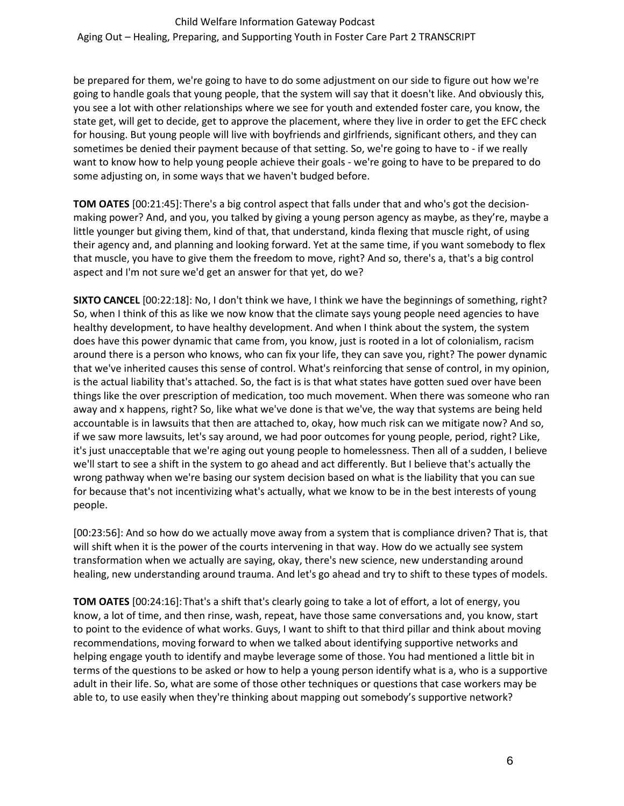be prepared for them, we're going to have to do some adjustment on our side to figure out how we're going to handle goals that young people, that the system will say that it doesn't like. And obviously this, you see a lot with other relationships where we see for youth and extended foster care, you know, the state get, will get to decide, get to approve the placement, where they live in order to get the EFC check for housing. But young people will live with boyfriends and girlfriends, significant others, and they can sometimes be denied their payment because of that setting. So, we're going to have to - if we really want to know how to help young people achieve their goals - we're going to have to be prepared to do some adjusting on, in some ways that we haven't budged before.

**TOM OATES** [00:21:45]:There's a big control aspect that falls under that and who's got the decisionmaking power? And, and you, you talked by giving a young person agency as maybe, as they're, maybe a little younger but giving them, kind of that, that understand, kinda flexing that muscle right, of using their agency and, and planning and looking forward. Yet at the same time, if you want somebody to flex that muscle, you have to give them the freedom to move, right? And so, there's a, that's a big control aspect and I'm not sure we'd get an answer for that yet, do we?

**SIXTO CANCEL** [00:22:18]: No, I don't think we have, I think we have the beginnings of something, right? So, when I think of this as like we now know that the climate says young people need agencies to have healthy development, to have healthy development. And when I think about the system, the system does have this power dynamic that came from, you know, just is rooted in a lot of colonialism, racism around there is a person who knows, who can fix your life, they can save you, right? The power dynamic that we've inherited causes this sense of control. What's reinforcing that sense of control, in my opinion, is the actual liability that's attached. So, the fact is is that what states have gotten sued over have been things like the over prescription of medication, too much movement. When there was someone who ran away and x happens, right? So, like what we've done is that we've, the way that systems are being held accountable is in lawsuits that then are attached to, okay, how much risk can we mitigate now? And so, if we saw more lawsuits, let's say around, we had poor outcomes for young people, period, right? Like, it's just unacceptable that we're aging out young people to homelessness. Then all of a sudden, I believe we'll start to see a shift in the system to go ahead and act differently. But I believe that's actually the wrong pathway when we're basing our system decision based on what is the liability that you can sue for because that's not incentivizing what's actually, what we know to be in the best interests of young people.

[00:23:56]: And so how do we actually move away from a system that is compliance driven? That is, that will shift when it is the power of the courts intervening in that way. How do we actually see system transformation when we actually are saying, okay, there's new science, new understanding around healing, new understanding around trauma. And let's go ahead and try to shift to these types of models.

**TOM OATES** [00:24:16]:That's a shift that's clearly going to take a lot of effort, a lot of energy, you know, a lot of time, and then rinse, wash, repeat, have those same conversations and, you know, start to point to the evidence of what works. Guys, I want to shift to that third pillar and think about moving recommendations, moving forward to when we talked about identifying supportive networks and helping engage youth to identify and maybe leverage some of those. You had mentioned a little bit in terms of the questions to be asked or how to help a young person identify what is a, who is a supportive adult in their life. So, what are some of those other techniques or questions that case workers may be able to, to use easily when they're thinking about mapping out somebody's supportive network?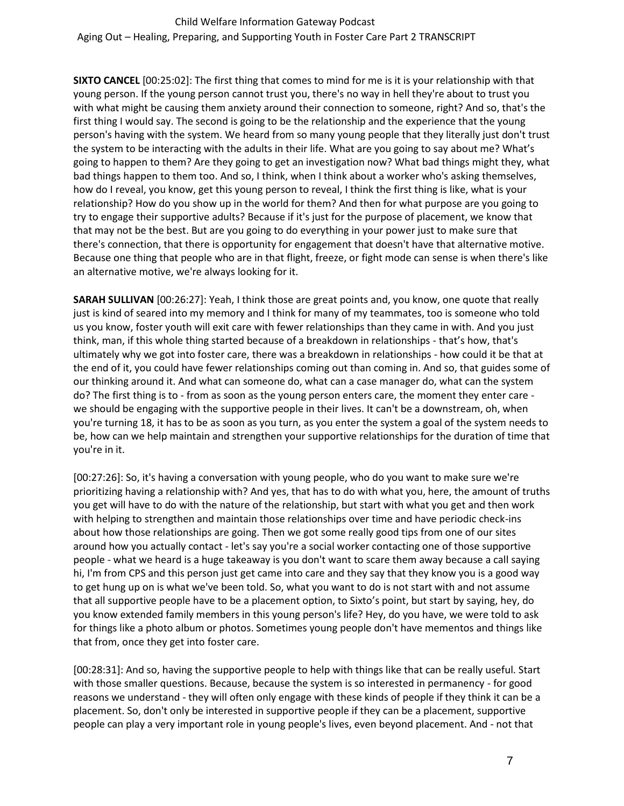**SIXTO CANCEL** [00:25:02]: The first thing that comes to mind for me is it is your relationship with that young person. If the young person cannot trust you, there's no way in hell they're about to trust you with what might be causing them anxiety around their connection to someone, right? And so, that's the first thing I would say. The second is going to be the relationship and the experience that the young person's having with the system. We heard from so many young people that they literally just don't trust the system to be interacting with the adults in their life. What are you going to say about me? What's going to happen to them? Are they going to get an investigation now? What bad things might they, what bad things happen to them too. And so, I think, when I think about a worker who's asking themselves, how do I reveal, you know, get this young person to reveal, I think the first thing is like, what is your relationship? How do you show up in the world for them? And then for what purpose are you going to try to engage their supportive adults? Because if it's just for the purpose of placement, we know that that may not be the best. But are you going to do everything in your power just to make sure that there's connection, that there is opportunity for engagement that doesn't have that alternative motive. Because one thing that people who are in that flight, freeze, or fight mode can sense is when there's like an alternative motive, we're always looking for it.

**SARAH SULLIVAN** [00:26:27]: Yeah, I think those are great points and, you know, one quote that really just is kind of seared into my memory and I think for many of my teammates, too is someone who told us you know, foster youth will exit care with fewer relationships than they came in with. And you just think, man, if this whole thing started because of a breakdown in relationships - that's how, that's ultimately why we got into foster care, there was a breakdown in relationships - how could it be that at the end of it, you could have fewer relationships coming out than coming in. And so, that guides some of our thinking around it. And what can someone do, what can a case manager do, what can the system do? The first thing is to - from as soon as the young person enters care, the moment they enter care we should be engaging with the supportive people in their lives. It can't be a downstream, oh, when you're turning 18, it has to be as soon as you turn, as you enter the system a goal of the system needs to be, how can we help maintain and strengthen your supportive relationships for the duration of time that you're in it.

[00:27:26]: So, it's having a conversation with young people, who do you want to make sure we're prioritizing having a relationship with? And yes, that has to do with what you, here, the amount of truths you get will have to do with the nature of the relationship, but start with what you get and then work with helping to strengthen and maintain those relationships over time and have periodic check-ins about how those relationships are going. Then we got some really good tips from one of our sites around how you actually contact - let's say you're a social worker contacting one of those supportive people - what we heard is a huge takeaway is you don't want to scare them away because a call saying hi, I'm from CPS and this person just get came into care and they say that they know you is a good way to get hung up on is what we've been told. So, what you want to do is not start with and not assume that all supportive people have to be a placement option, to Sixto's point, but start by saying, hey, do you know extended family members in this young person's life? Hey, do you have, we were told to ask for things like a photo album or photos. Sometimes young people don't have mementos and things like that from, once they get into foster care.

[00:28:31]: And so, having the supportive people to help with things like that can be really useful. Start with those smaller questions. Because, because the system is so interested in permanency - for good reasons we understand - they will often only engage with these kinds of people if they think it can be a placement. So, don't only be interested in supportive people if they can be a placement, supportive people can play a very important role in young people's lives, even beyond placement. And - not that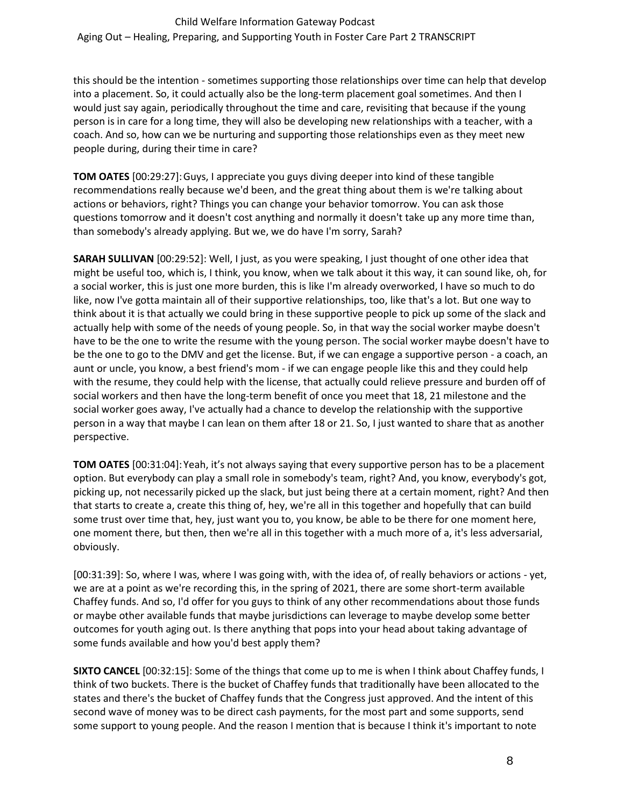this should be the intention - sometimes supporting those relationships over time can help that develop into a placement. So, it could actually also be the long-term placement goal sometimes. And then I would just say again, periodically throughout the time and care, revisiting that because if the young person is in care for a long time, they will also be developing new relationships with a teacher, with a coach. And so, how can we be nurturing and supporting those relationships even as they meet new people during, during their time in care?

**TOM OATES** [00:29:27]:Guys, I appreciate you guys diving deeper into kind of these tangible recommendations really because we'd been, and the great thing about them is we're talking about actions or behaviors, right? Things you can change your behavior tomorrow. You can ask those questions tomorrow and it doesn't cost anything and normally it doesn't take up any more time than, than somebody's already applying. But we, we do have I'm sorry, Sarah?

**SARAH SULLIVAN** [00:29:52]: Well, I just, as you were speaking, I just thought of one other idea that might be useful too, which is, I think, you know, when we talk about it this way, it can sound like, oh, for a social worker, this is just one more burden, this is like I'm already overworked, I have so much to do like, now I've gotta maintain all of their supportive relationships, too, like that's a lot. But one way to think about it is that actually we could bring in these supportive people to pick up some of the slack and actually help with some of the needs of young people. So, in that way the social worker maybe doesn't have to be the one to write the resume with the young person. The social worker maybe doesn't have to be the one to go to the DMV and get the license. But, if we can engage a supportive person - a coach, an aunt or uncle, you know, a best friend's mom - if we can engage people like this and they could help with the resume, they could help with the license, that actually could relieve pressure and burden off of social workers and then have the long-term benefit of once you meet that 18, 21 milestone and the social worker goes away, I've actually had a chance to develop the relationship with the supportive person in a way that maybe I can lean on them after 18 or 21. So, I just wanted to share that as another perspective.

**TOM OATES** [00:31:04]:Yeah, it's not always saying that every supportive person has to be a placement option. But everybody can play a small role in somebody's team, right? And, you know, everybody's got, picking up, not necessarily picked up the slack, but just being there at a certain moment, right? And then that starts to create a, create this thing of, hey, we're all in this together and hopefully that can build some trust over time that, hey, just want you to, you know, be able to be there for one moment here, one moment there, but then, then we're all in this together with a much more of a, it's less adversarial, obviously.

[00:31:39]: So, where I was, where I was going with, with the idea of, of really behaviors or actions - yet, we are at a point as we're recording this, in the spring of 2021, there are some short-term available Chaffey funds. And so, I'd offer for you guys to think of any other recommendations about those funds or maybe other available funds that maybe jurisdictions can leverage to maybe develop some better outcomes for youth aging out. Is there anything that pops into your head about taking advantage of some funds available and how you'd best apply them?

**SIXTO CANCEL** [00:32:15]: Some of the things that come up to me is when I think about Chaffey funds, I think of two buckets. There is the bucket of Chaffey funds that traditionally have been allocated to the states and there's the bucket of Chaffey funds that the Congress just approved. And the intent of this second wave of money was to be direct cash payments, for the most part and some supports, send some support to young people. And the reason I mention that is because I think it's important to note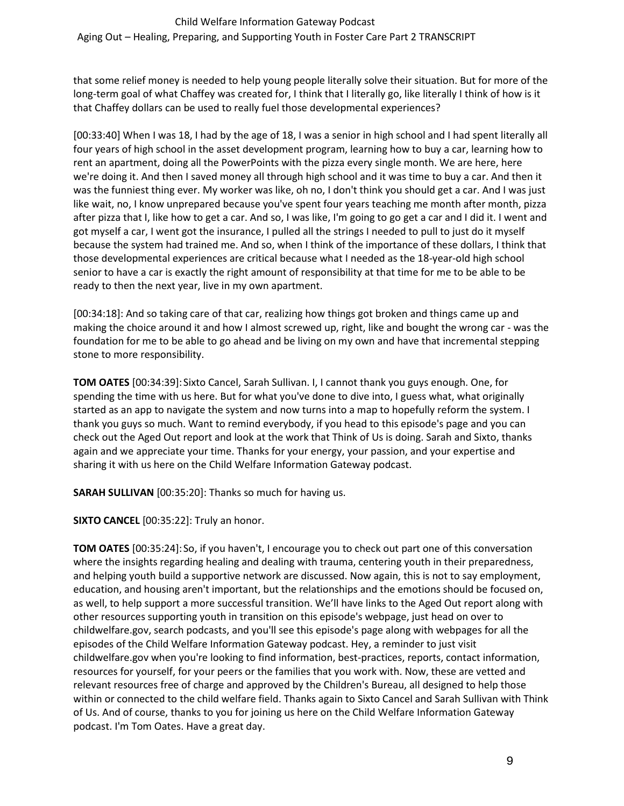#### Child Welfare Information Gateway Podcast

Aging Out – Healing, Preparing, and Supporting Youth in Foster Care Part 2 TRANSCRIPT

that some relief money is needed to help young people literally solve their situation. But for more of the long-term goal of what Chaffey was created for, I think that I literally go, like literally I think of how is it that Chaffey dollars can be used to really fuel those developmental experiences?

[00:33:40] When I was 18, I had by the age of 18, I was a senior in high school and I had spent literally all four years of high school in the asset development program, learning how to buy a car, learning how to rent an apartment, doing all the PowerPoints with the pizza every single month. We are here, here we're doing it. And then I saved money all through high school and it was time to buy a car. And then it was the funniest thing ever. My worker was like, oh no, I don't think you should get a car. And I was just like wait, no, I know unprepared because you've spent four years teaching me month after month, pizza after pizza that I, like how to get a car. And so, I was like, I'm going to go get a car and I did it. I went and got myself a car, I went got the insurance, I pulled all the strings I needed to pull to just do it myself because the system had trained me. And so, when I think of the importance of these dollars, I think that those developmental experiences are critical because what I needed as the 18-year-old high school senior to have a car is exactly the right amount of responsibility at that time for me to be able to be ready to then the next year, live in my own apartment.

[00:34:18]: And so taking care of that car, realizing how things got broken and things came up and making the choice around it and how I almost screwed up, right, like and bought the wrong car - was the foundation for me to be able to go ahead and be living on my own and have that incremental stepping stone to more responsibility.

**TOM OATES** [00:34:39]:Sixto Cancel, Sarah Sullivan. I, I cannot thank you guys enough. One, for spending the time with us here. But for what you've done to dive into, I guess what, what originally started as an app to navigate the system and now turns into a map to hopefully reform the system. I thank you guys so much. Want to remind everybody, if you head to this episode's page and you can check out the Aged Out report and look at the work that Think of Us is doing. Sarah and Sixto, thanks again and we appreciate your time. Thanks for your energy, your passion, and your expertise and sharing it with us here on the Child Welfare Information Gateway podcast.

**SARAH SULLIVAN** [00:35:20]: Thanks so much for having us.

**SIXTO CANCEL** [00:35:22]: Truly an honor.

**TOM OATES** [00:35:24]:So, if you haven't, I encourage you to check out part one of this conversation where the insights regarding healing and dealing with trauma, centering youth in their preparedness, and helping youth build a supportive network are discussed. Now again, this is not to say employment, education, and housing aren't important, but the relationships and the emotions should be focused on, as well, to help support a more successful transition. We'll have links to the Aged Out report along with other resources supporting youth in transition on this episode's webpage, just head on over to childwelfare.gov, search podcasts, and you'll see this episode's page along with webpages for all the episodes of the Child Welfare Information Gateway podcast. Hey, a reminder to just visit childwelfare.gov when you're looking to find information, best-practices, reports, contact information, resources for yourself, for your peers or the families that you work with. Now, these are vetted and relevant resources free of charge and approved by the Children's Bureau, all designed to help those within or connected to the child welfare field. Thanks again to Sixto Cancel and Sarah Sullivan with Think of Us. And of course, thanks to you for joining us here on the Child Welfare Information Gateway podcast. I'm Tom Oates. Have a great day.